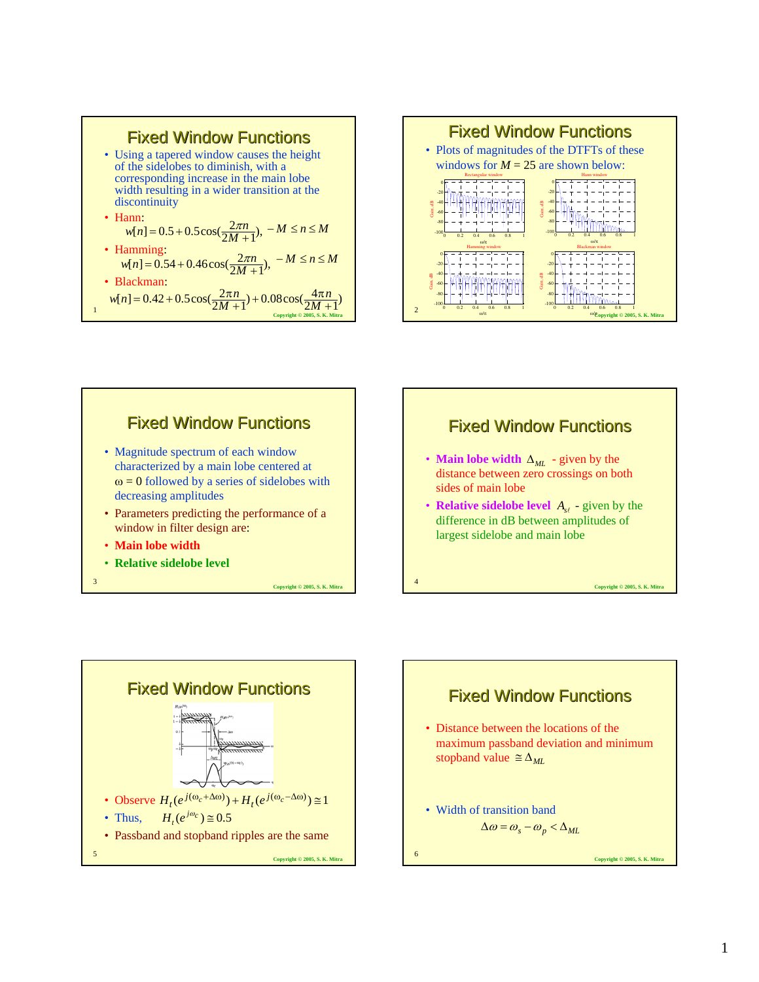









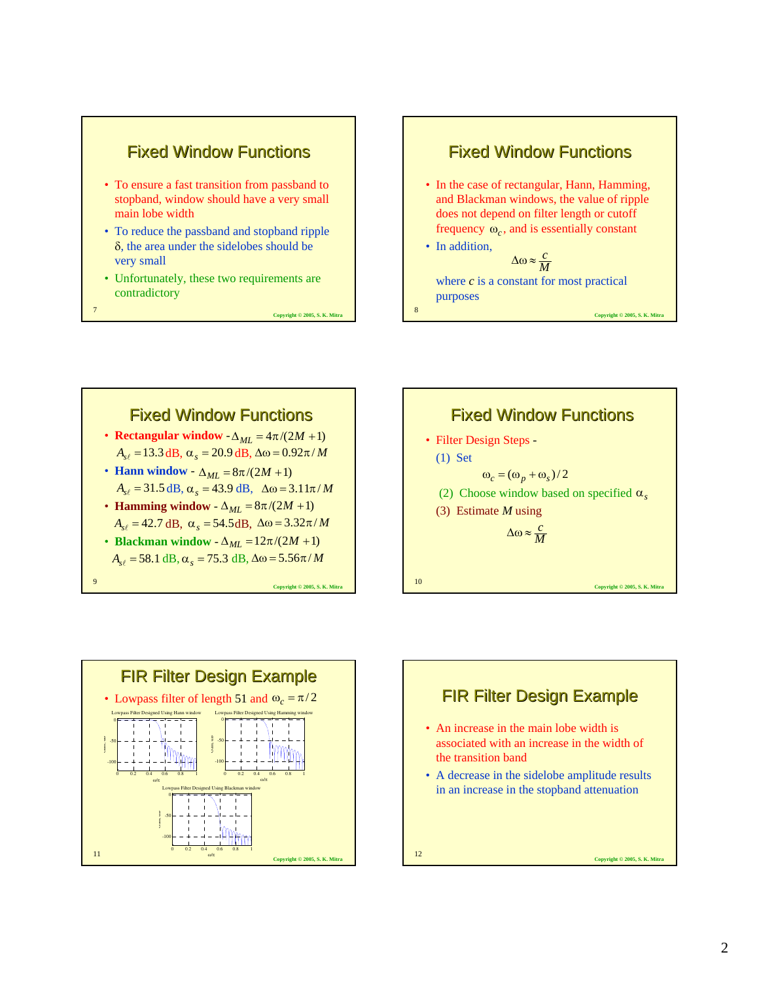

- To ensure a fast transition from passband to stopband, window should have a very small main lobe width
- To reduce the passband and stopband ripple δ, the area under the sidelobes should be very small
- Unfortunately, these two requirements are contradictory

<sup>7</sup> **Copyright © 2005, S. K. Mitra**









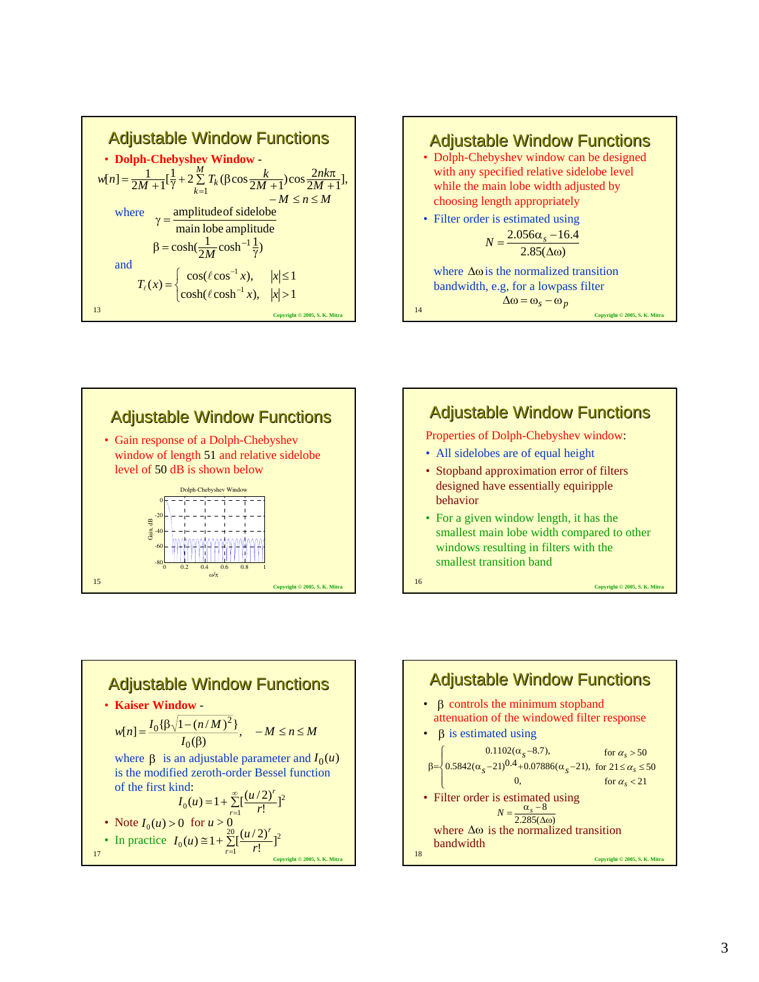







• For a given window length, it has the smallest main lobe width compared to other windows resulting in filters with the smallest transition band

<sup>16</sup> **Copyright © 2005, S. K. Mitra**